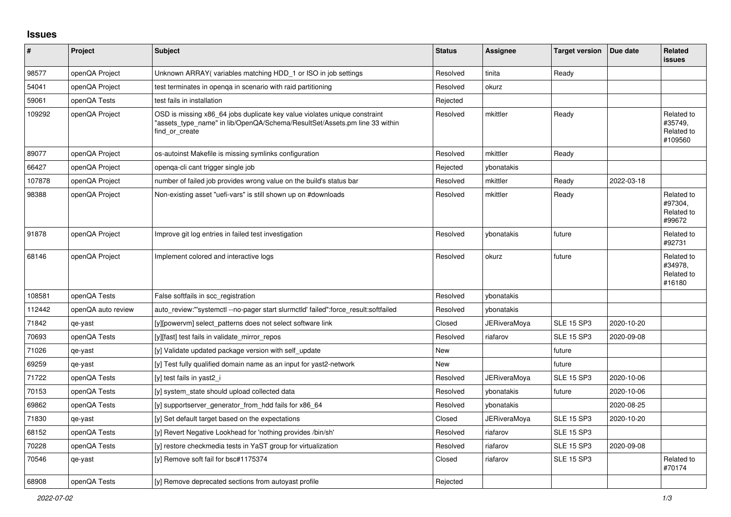## **Issues**

| ∦      | Project            | Subject                                                                                                                                                                   | <b>Status</b> | Assignee            | <b>Target version</b> | Due date   | Related<br><b>issues</b>                       |
|--------|--------------------|---------------------------------------------------------------------------------------------------------------------------------------------------------------------------|---------------|---------------------|-----------------------|------------|------------------------------------------------|
| 98577  | openQA Project     | Unknown ARRAY (variables matching HDD 1 or ISO in job settings                                                                                                            | Resolved      | tinita              | Ready                 |            |                                                |
| 54041  | openQA Project     | test terminates in openga in scenario with raid partitioning                                                                                                              | Resolved      | okurz               |                       |            |                                                |
| 59061  | openQA Tests       | test fails in installation                                                                                                                                                | Rejected      |                     |                       |            |                                                |
| 109292 | openQA Project     | OSD is missing x86_64 jobs duplicate key value violates unique constraint<br>"assets type name" in lib/OpenQA/Schema/ResultSet/Assets.pm line 33 within<br>find or create | Resolved      | mkittler            | Ready                 |            | Related to<br>#35749,<br>Related to<br>#109560 |
| 89077  | openQA Project     | os-autoinst Makefile is missing symlinks configuration                                                                                                                    | Resolved      | mkittler            | Ready                 |            |                                                |
| 66427  | openQA Project     | openqa-cli cant trigger single job                                                                                                                                        | Rejected      | ybonatakis          |                       |            |                                                |
| 107878 | openQA Project     | number of failed job provides wrong value on the build's status bar                                                                                                       | Resolved      | mkittler            | Ready                 | 2022-03-18 |                                                |
| 98388  | openQA Project     | Non-existing asset "uefi-vars" is still shown up on #downloads                                                                                                            | Resolved      | mkittler            | Ready                 |            | Related to<br>#97304,<br>Related to<br>#99672  |
| 91878  | openQA Project     | Improve git log entries in failed test investigation                                                                                                                      | Resolved      | ybonatakis          | future                |            | Related to<br>#92731                           |
| 68146  | openQA Project     | Implement colored and interactive logs                                                                                                                                    | Resolved      | okurz               | future                |            | Related to<br>#34978,<br>Related to<br>#16180  |
| 108581 | openQA Tests       | False softfails in scc registration                                                                                                                                       | Resolved      | ybonatakis          |                       |            |                                                |
| 112442 | openQA auto review | auto review:"'systemctl--no-pager start slurmctld' failed":force result:softfailed                                                                                        | Resolved      | ybonatakis          |                       |            |                                                |
| 71842  | qe-yast            | [y][powervm] select_patterns does not select software link                                                                                                                | Closed        | <b>JERiveraMova</b> | <b>SLE 15 SP3</b>     | 2020-10-20 |                                                |
| 70693  | openQA Tests       | [y][fast] test fails in validate mirror repos                                                                                                                             | Resolved      | riafarov            | <b>SLE 15 SP3</b>     | 2020-09-08 |                                                |
| 71026  | qe-yast            | [y] Validate updated package version with self update                                                                                                                     | <b>New</b>    |                     | future                |            |                                                |
| 69259  | qe-yast            | [y] Test fully qualified domain name as an input for yast2-network                                                                                                        | New           |                     | future                |            |                                                |
| 71722  | openQA Tests       | [y] test fails in yast2 i                                                                                                                                                 | Resolved      | <b>JERiveraMoya</b> | <b>SLE 15 SP3</b>     | 2020-10-06 |                                                |
| 70153  | openQA Tests       | [y] system state should upload collected data                                                                                                                             | Resolved      | ybonatakis          | future                | 2020-10-06 |                                                |
| 69862  | openQA Tests       | [y] supportserver generator from hdd fails for x86 64                                                                                                                     | Resolved      | ybonatakis          |                       | 2020-08-25 |                                                |
| 71830  | qe-yast            | [y] Set default target based on the expectations                                                                                                                          | Closed        | <b>JERiveraMoya</b> | <b>SLE 15 SP3</b>     | 2020-10-20 |                                                |
| 68152  | openQA Tests       | [y] Revert Negative Lookhead for 'nothing provides /bin/sh'                                                                                                               | Resolved      | riafarov            | <b>SLE 15 SP3</b>     |            |                                                |
| 70228  | openQA Tests       | [y] restore checkmedia tests in YaST group for virtualization                                                                                                             | Resolved      | riafarov            | <b>SLE 15 SP3</b>     | 2020-09-08 |                                                |
| 70546  | qe-yast            | [y] Remove soft fail for bsc#1175374                                                                                                                                      | Closed        | riafarov            | <b>SLE 15 SP3</b>     |            | Related to<br>#70174                           |
| 68908  | openQA Tests       | [y] Remove deprecated sections from autovast profile                                                                                                                      | Rejected      |                     |                       |            |                                                |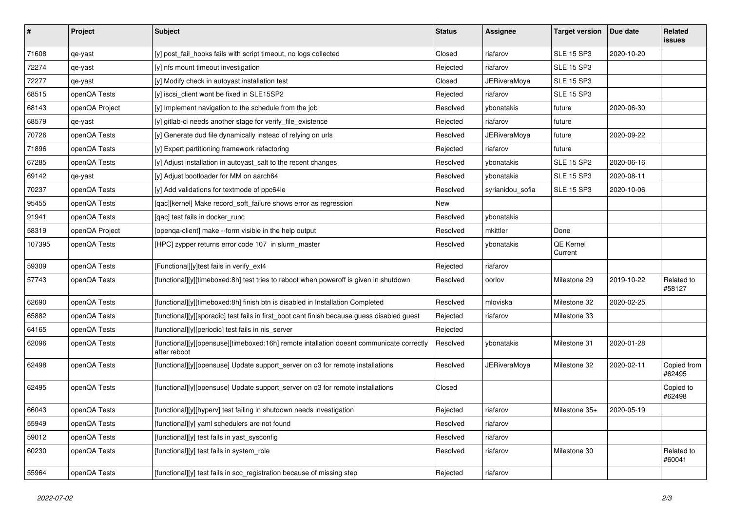| $\sharp$ | Project        | Subject                                                                                                  | <b>Status</b> | <b>Assignee</b>     | <b>Target version</b> | Due date   | Related<br>issues     |
|----------|----------------|----------------------------------------------------------------------------------------------------------|---------------|---------------------|-----------------------|------------|-----------------------|
| 71608    | qe-yast        | [y] post_fail_hooks fails with script timeout, no logs collected                                         | Closed        | riafarov            | <b>SLE 15 SP3</b>     | 2020-10-20 |                       |
| 72274    | qe-yast        | [y] nfs mount timeout investigation                                                                      | Rejected      | riafarov            | <b>SLE 15 SP3</b>     |            |                       |
| 72277    | qe-yast        | [y] Modify check in autoyast installation test                                                           | Closed        | <b>JERiveraMoya</b> | <b>SLE 15 SP3</b>     |            |                       |
| 68515    | openQA Tests   | [y] iscsi_client wont be fixed in SLE15SP2                                                               | Rejected      | riafarov            | <b>SLE 15 SP3</b>     |            |                       |
| 68143    | openQA Project | [y] Implement navigation to the schedule from the job                                                    | Resolved      | ybonatakis          | future                | 2020-06-30 |                       |
| 68579    | qe-yast        | [y] gitlab-ci needs another stage for verify_file_existence                                              | Rejected      | riafarov            | future                |            |                       |
| 70726    | openQA Tests   | [y] Generate dud file dynamically instead of relying on urls                                             | Resolved      | <b>JERiveraMoya</b> | future                | 2020-09-22 |                       |
| 71896    | openQA Tests   | [y] Expert partitioning framework refactoring                                                            | Rejected      | riafarov            | future                |            |                       |
| 67285    | openQA Tests   | [y] Adjust installation in autoyast_salt to the recent changes                                           | Resolved      | ybonatakis          | <b>SLE 15 SP2</b>     | 2020-06-16 |                       |
| 69142    | qe-yast        | [y] Adjust bootloader for MM on aarch64                                                                  | Resolved      | ybonatakis          | <b>SLE 15 SP3</b>     | 2020-08-11 |                       |
| 70237    | openQA Tests   | [y] Add validations for textmode of ppc64le                                                              | Resolved      | syrianidou_sofia    | <b>SLE 15 SP3</b>     | 2020-10-06 |                       |
| 95455    | openQA Tests   | [qac][kernel] Make record_soft_failure shows error as regression                                         | New           |                     |                       |            |                       |
| 91941    | openQA Tests   | [qac] test fails in docker_runc                                                                          | Resolved      | ybonatakis          |                       |            |                       |
| 58319    | openQA Project | [openqa-client] make --form visible in the help output                                                   | Resolved      | mkittler            | Done                  |            |                       |
| 107395   | openQA Tests   | [HPC] zypper returns error code 107 in slurm master                                                      | Resolved      | ybonatakis          | QE Kernel<br>Current  |            |                       |
| 59309    | openQA Tests   | [Functional][y]test fails in verify_ext4                                                                 | Rejected      | riafarov            |                       |            |                       |
| 57743    | openQA Tests   | [functional][y][timeboxed:8h] test tries to reboot when poweroff is given in shutdown                    | Resolved      | oorlov              | Milestone 29          | 2019-10-22 | Related to<br>#58127  |
| 62690    | openQA Tests   | [functional][y][timeboxed:8h] finish btn is disabled in Installation Completed                           | Resolved      | mloviska            | Milestone 32          | 2020-02-25 |                       |
| 65882    | openQA Tests   | [functional][y][sporadic] test fails in first_boot cant finish because guess disabled guest              | Rejected      | riafarov            | Milestone 33          |            |                       |
| 64165    | openQA Tests   | [functional][y][periodic] test fails in nis_server                                                       | Rejected      |                     |                       |            |                       |
| 62096    | openQA Tests   | [functional][y][opensuse][timeboxed:16h] remote intallation doesnt communicate correctly<br>after reboot | Resolved      | ybonatakis          | Milestone 31          | 2020-01-28 |                       |
| 62498    | openQA Tests   | [functional][y][opensuse] Update support_server on o3 for remote installations                           | Resolved      | <b>JERiveraMoya</b> | Milestone 32          | 2020-02-11 | Copied from<br>#62495 |
| 62495    | openQA Tests   | [functional][y][opensuse] Update support_server on o3 for remote installations                           | Closed        |                     |                       |            | Copied to<br>#62498   |
| 66043    | openQA Tests   | [functional][y][hyperv] test failing in shutdown needs investigation                                     | Rejected      | riafarov            | Milestone 35+         | 2020-05-19 |                       |
| 55949    | openQA Tests   | [functional][y] yaml schedulers are not found                                                            | Resolved      | riafarov            |                       |            |                       |
| 59012    | openQA Tests   | [functional][y] test fails in yast sysconfig                                                             | Resolved      | riafarov            |                       |            |                       |
| 60230    | openQA Tests   | [functional][y] test fails in system_role                                                                | Resolved      | riafarov            | Milestone 30          |            | Related to<br>#60041  |
| 55964    | openQA Tests   | [functional][y] test fails in scc_registration because of missing step                                   | Rejected      | riafarov            |                       |            |                       |